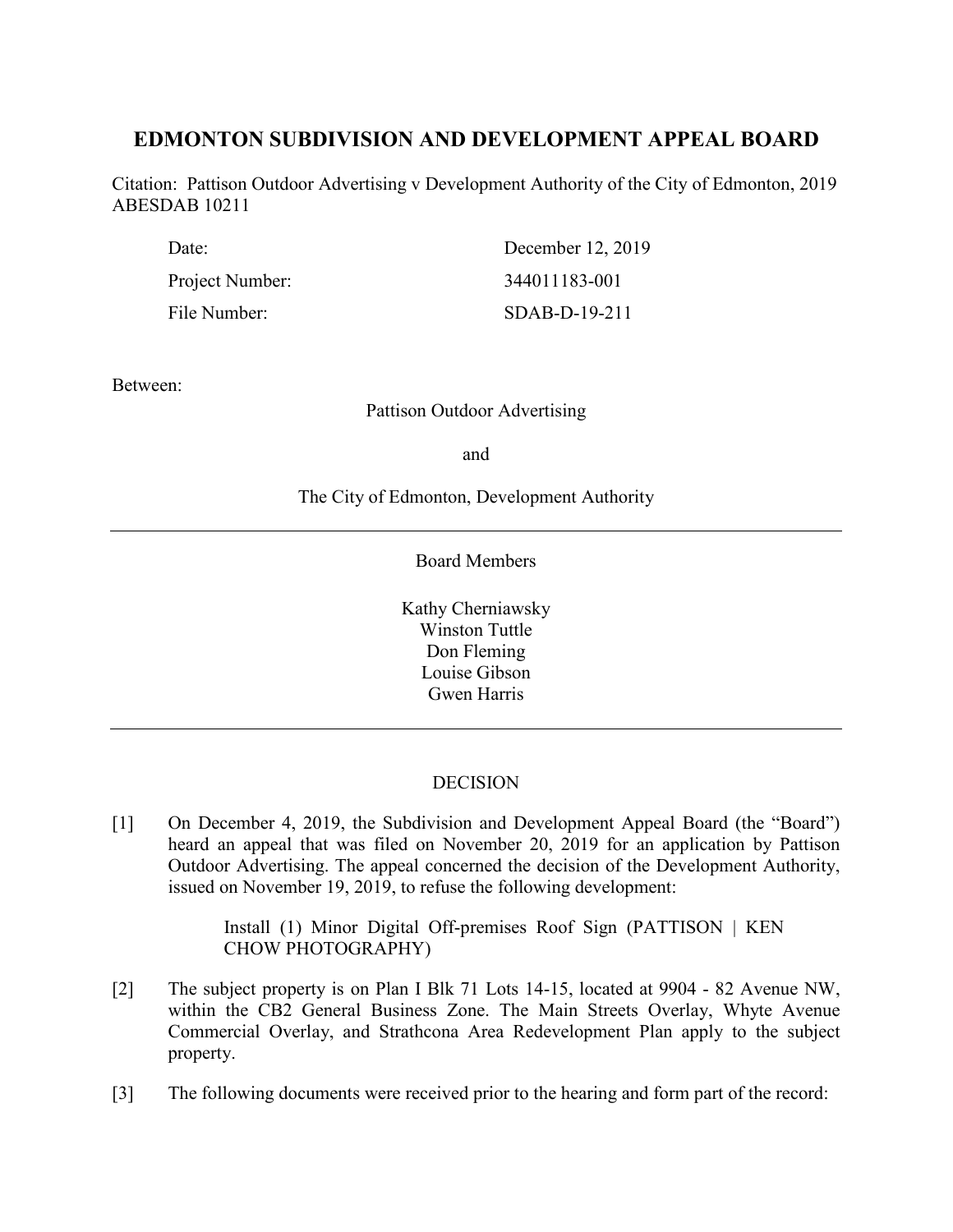# **EDMONTON SUBDIVISION AND DEVELOPMENT APPEAL BOARD**

Citation: Pattison Outdoor Advertising v Development Authority of the City of Edmonton, 2019 ABESDAB 10211

| Date:           | December 12, 2019 |
|-----------------|-------------------|
| Project Number: | 344011183-001     |
| File Number:    | $SDAB-D-19-211$   |

Between:

Pattison Outdoor Advertising

and

The City of Edmonton, Development Authority

Board Members

Kathy Cherniawsky Winston Tuttle Don Fleming Louise Gibson Gwen Harris

### **DECISION**

[1] On December 4, 2019, the Subdivision and Development Appeal Board (the "Board") heard an appeal that was filed on November 20, 2019 for an application by Pattison Outdoor Advertising. The appeal concerned the decision of the Development Authority, issued on November 19, 2019, to refuse the following development:

> Install (1) Minor Digital Off-premises Roof Sign (PATTISON | KEN CHOW PHOTOGRAPHY)

- [2] The subject property is on Plan I Blk 71 Lots 14-15, located at 9904 82 Avenue NW, within the CB2 General Business Zone. The Main Streets Overlay, Whyte Avenue Commercial Overlay, and Strathcona Area Redevelopment Plan apply to the subject property.
- [3] The following documents were received prior to the hearing and form part of the record: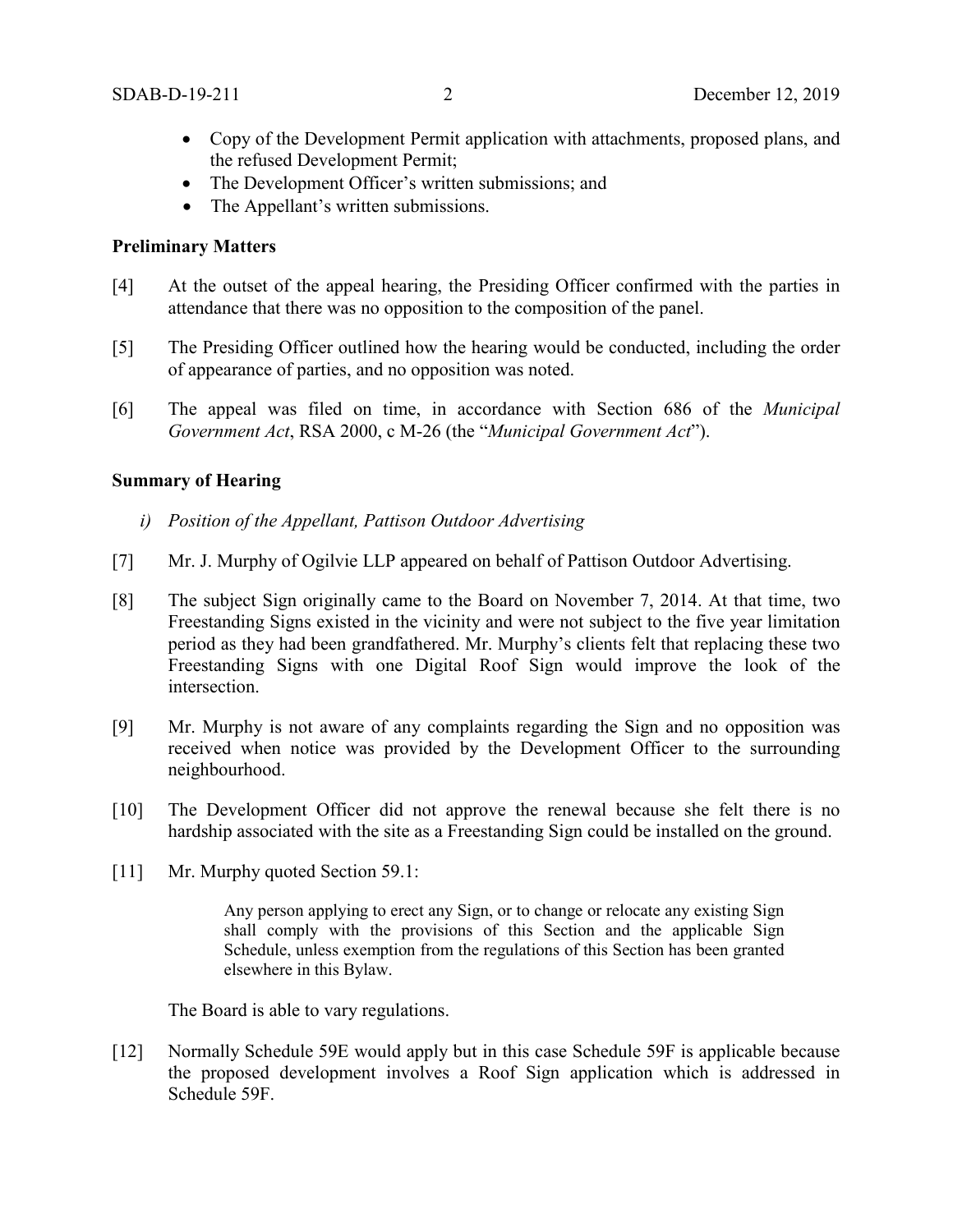- Copy of the Development Permit application with attachments, proposed plans, and the refused Development Permit;
- The Development Officer's written submissions; and
- The Appellant's written submissions.

### **Preliminary Matters**

- [4] At the outset of the appeal hearing, the Presiding Officer confirmed with the parties in attendance that there was no opposition to the composition of the panel.
- [5] The Presiding Officer outlined how the hearing would be conducted, including the order of appearance of parties, and no opposition was noted.
- [6] The appeal was filed on time, in accordance with Section 686 of the *Municipal Government Act*, RSA 2000, c M-26 (the "*Municipal Government Act*").

### **Summary of Hearing**

- *i) Position of the Appellant, Pattison Outdoor Advertising*
- [7] Mr. J. Murphy of Ogilvie LLP appeared on behalf of Pattison Outdoor Advertising.
- [8] The subject Sign originally came to the Board on November 7, 2014. At that time, two Freestanding Signs existed in the vicinity and were not subject to the five year limitation period as they had been grandfathered. Mr. Murphy's clients felt that replacing these two Freestanding Signs with one Digital Roof Sign would improve the look of the intersection.
- [9] Mr. Murphy is not aware of any complaints regarding the Sign and no opposition was received when notice was provided by the Development Officer to the surrounding neighbourhood.
- [10] The Development Officer did not approve the renewal because she felt there is no hardship associated with the site as a Freestanding Sign could be installed on the ground.
- [11] Mr. Murphy quoted Section 59.1:

Any person applying to erect any Sign, or to change or relocate any existing Sign shall comply with the provisions of this Section and the applicable Sign Schedule, unless exemption from the regulations of this Section has been granted elsewhere in this Bylaw.

The Board is able to vary regulations.

[12] Normally Schedule 59E would apply but in this case Schedule 59F is applicable because the proposed development involves a Roof Sign application which is addressed in Schedule 59F.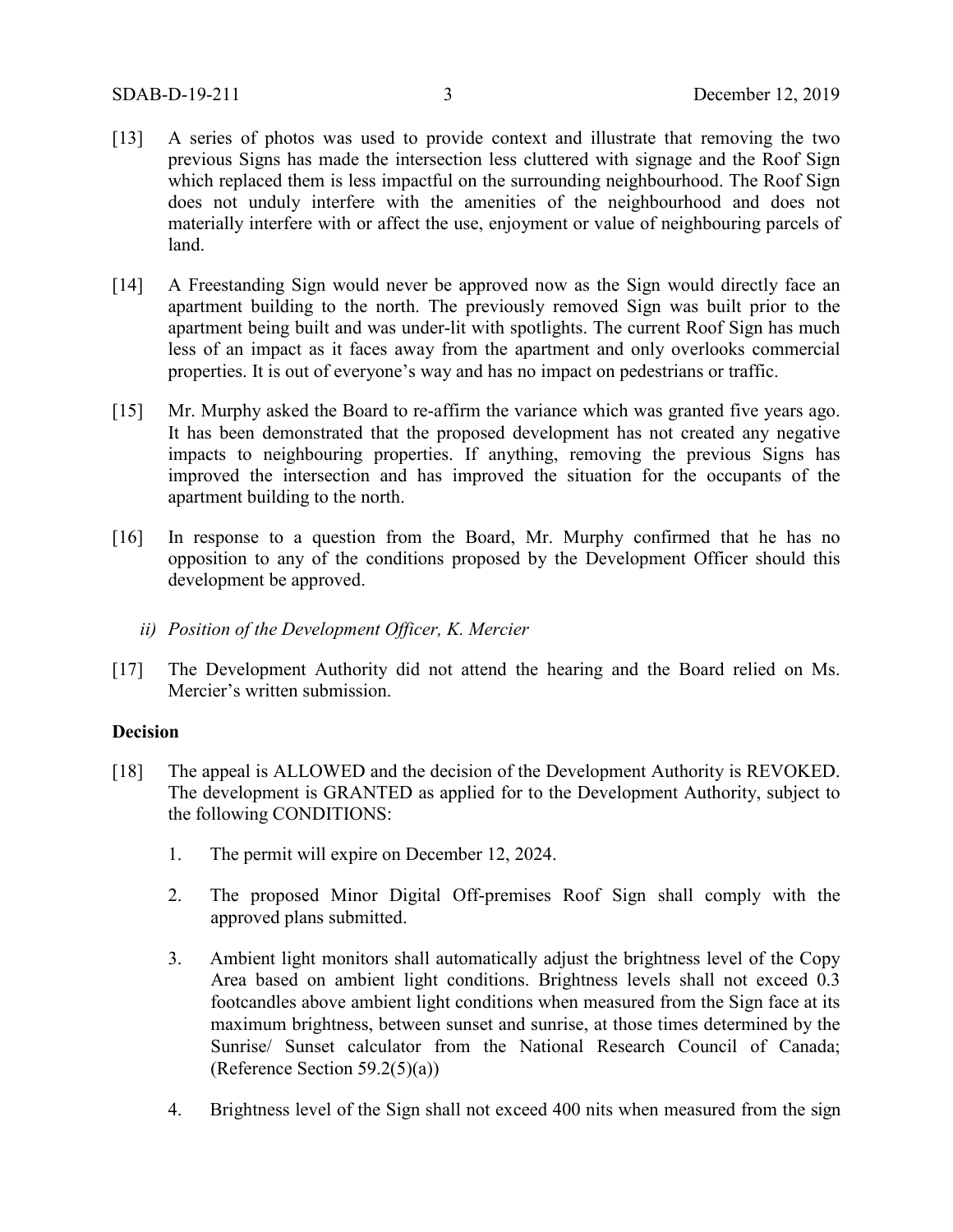- [13] A series of photos was used to provide context and illustrate that removing the two previous Signs has made the intersection less cluttered with signage and the Roof Sign which replaced them is less impactful on the surrounding neighbourhood. The Roof Sign does not unduly interfere with the amenities of the neighbourhood and does not materially interfere with or affect the use, enjoyment or value of neighbouring parcels of land.
- [14] A Freestanding Sign would never be approved now as the Sign would directly face an apartment building to the north. The previously removed Sign was built prior to the apartment being built and was under-lit with spotlights. The current Roof Sign has much less of an impact as it faces away from the apartment and only overlooks commercial properties. It is out of everyone's way and has no impact on pedestrians or traffic.
- [15] Mr. Murphy asked the Board to re-affirm the variance which was granted five years ago. It has been demonstrated that the proposed development has not created any negative impacts to neighbouring properties. If anything, removing the previous Signs has improved the intersection and has improved the situation for the occupants of the apartment building to the north.
- [16] In response to a question from the Board, Mr. Murphy confirmed that he has no opposition to any of the conditions proposed by the Development Officer should this development be approved.
	- *ii) Position of the Development Officer, K. Mercier*
- [17] The Development Authority did not attend the hearing and the Board relied on Ms. Mercier's written submission.

### **Decision**

- [18] The appeal is ALLOWED and the decision of the Development Authority is REVOKED. The development is GRANTED as applied for to the Development Authority, subject to the following CONDITIONS:
	- 1. The permit will expire on December 12, 2024.
	- 2. The proposed Minor Digital Off-premises Roof Sign shall comply with the approved plans submitted.
	- 3. Ambient light monitors shall automatically adjust the brightness level of the Copy Area based on ambient light conditions. Brightness levels shall not exceed 0.3 footcandles above ambient light conditions when measured from the Sign face at its maximum brightness, between sunset and sunrise, at those times determined by the Sunrise/ Sunset calculator from the National Research Council of Canada; (Reference Section 59.2(5)(a))
	- 4. Brightness level of the Sign shall not exceed 400 nits when measured from the sign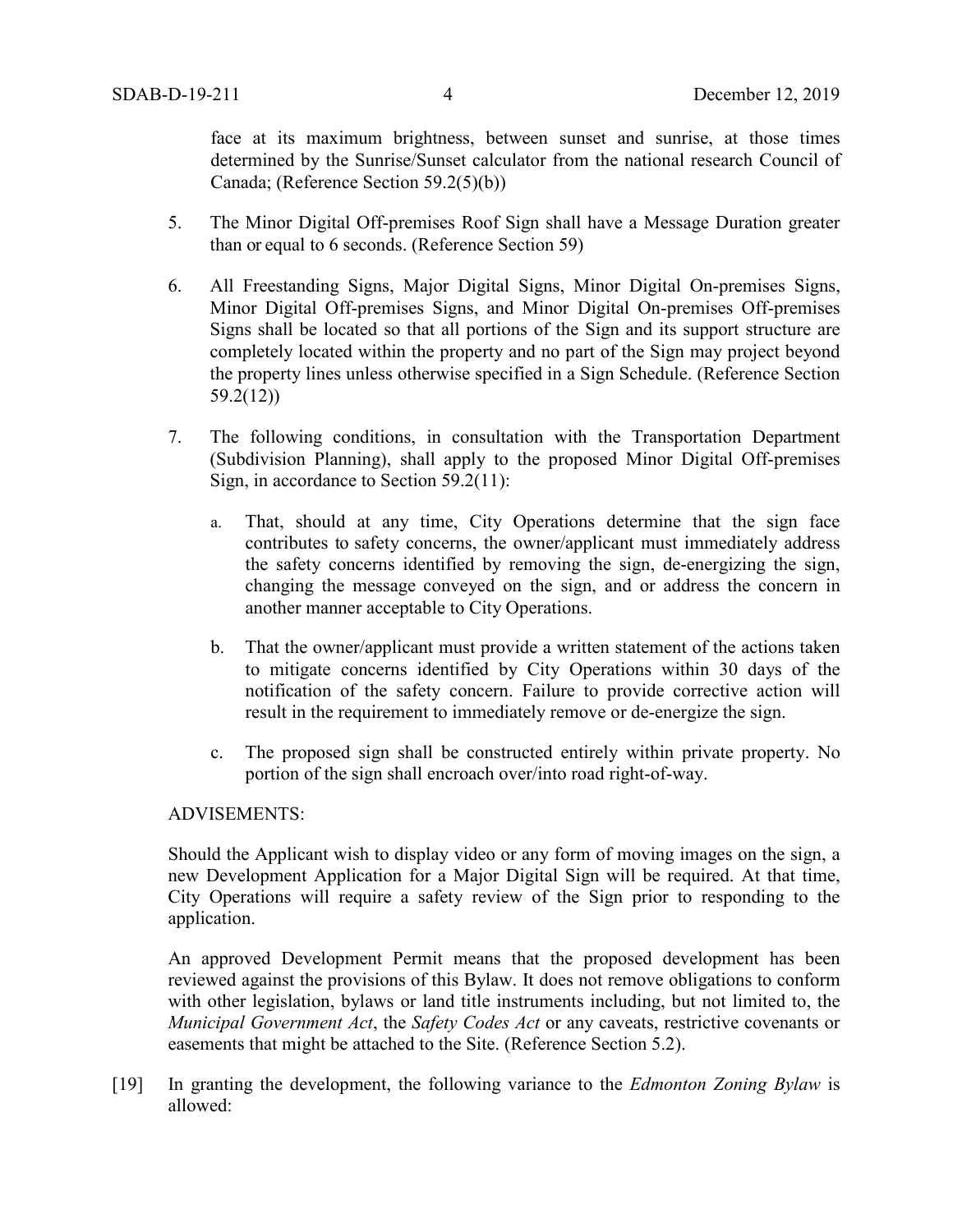face at its maximum brightness, between sunset and sunrise, at those times determined by the Sunrise/Sunset calculator from the national research Council of Canada; (Reference Section 59.2(5)(b))

- 5. The Minor Digital Off-premises Roof Sign shall have a Message Duration greater than or equal to 6 seconds. (Reference Section 59)
- 6. All Freestanding Signs, Major Digital Signs, Minor Digital On-premises Signs, Minor Digital Off-premises Signs, and Minor Digital On-premises Off-premises Signs shall be located so that all portions of the Sign and its support structure are completely located within the property and no part of the Sign may project beyond the property lines unless otherwise specified in a Sign Schedule. (Reference Section 59.2(12))
- 7. The following conditions, in consultation with the Transportation Department (Subdivision Planning), shall apply to the proposed Minor Digital Off-premises Sign, in accordance to Section 59.2(11):
	- a. That, should at any time, City Operations determine that the sign face contributes to safety concerns, the owner/applicant must immediately address the safety concerns identified by removing the sign, de-energizing the sign, changing the message conveyed on the sign, and or address the concern in another manner acceptable to City Operations.
	- b. That the owner/applicant must provide a written statement of the actions taken to mitigate concerns identified by City Operations within 30 days of the notification of the safety concern. Failure to provide corrective action will result in the requirement to immediately remove or de-energize the sign.
	- c. The proposed sign shall be constructed entirely within private property. No portion of the sign shall encroach over/into road right-of-way.

### ADVISEMENTS:

Should the Applicant wish to display video or any form of moving images on the sign, a new Development Application for a Major Digital Sign will be required. At that time, City Operations will require a safety review of the Sign prior to responding to the application.

An approved Development Permit means that the proposed development has been reviewed against the provisions of this Bylaw. It does not remove obligations to conform with other legislation, bylaws or land title instruments including, but not limited to, the *Municipal Government Act*, the *Safety Codes Act* or any caveats, restrictive covenants or easements that might be attached to the Site. (Reference Section 5.2).

[19] In granting the development, the following variance to the *Edmonton Zoning Bylaw* is allowed: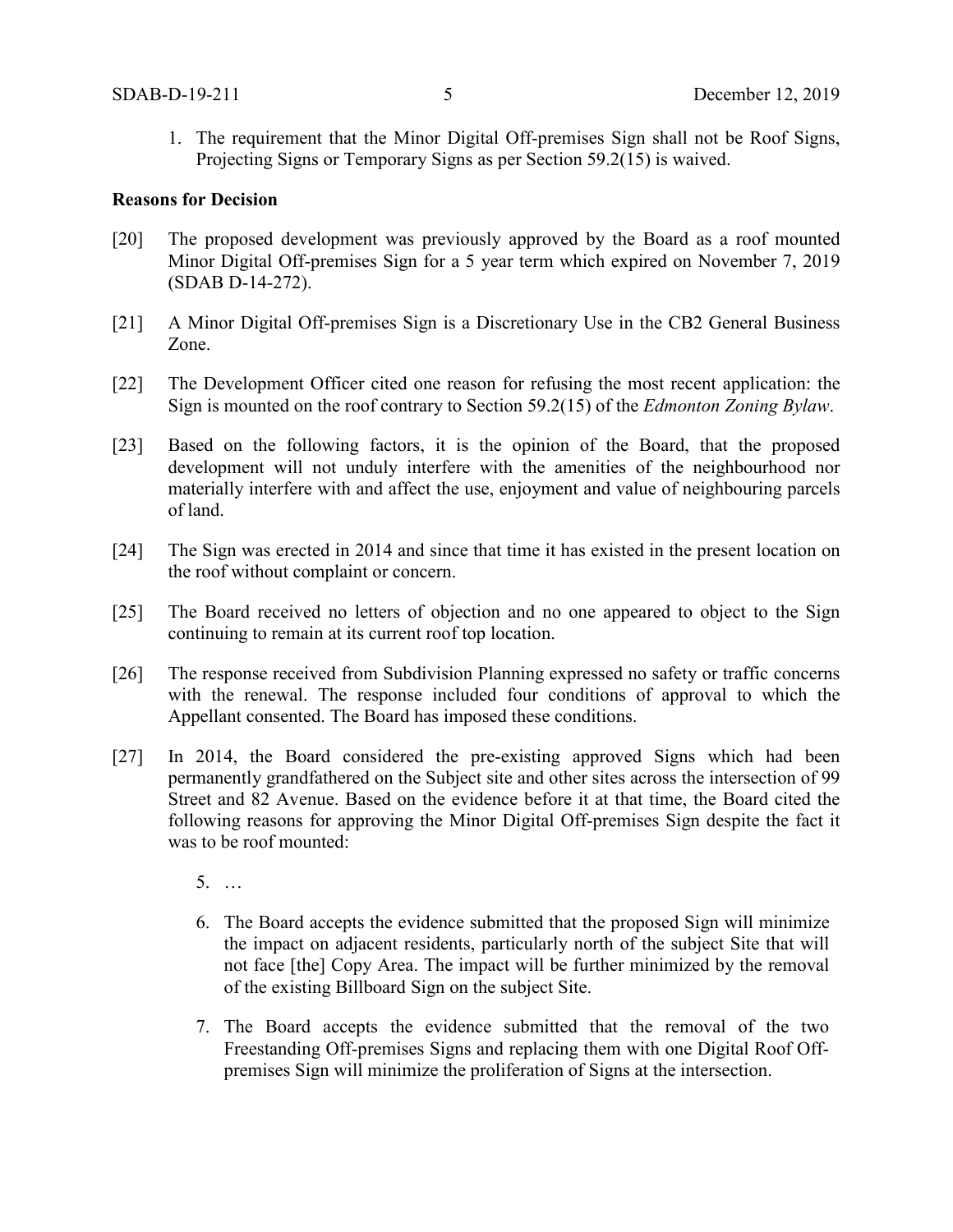1. The requirement that the Minor Digital Off-premises Sign shall not be Roof Signs, Projecting Signs or Temporary Signs as per Section 59.2(15) is waived.

### **Reasons for Decision**

- [20] The proposed development was previously approved by the Board as a roof mounted Minor Digital Off-premises Sign for a 5 year term which expired on November 7, 2019 (SDAB D-14-272).
- [21] A Minor Digital Off-premises Sign is a Discretionary Use in the CB2 General Business Zone.
- [22] The Development Officer cited one reason for refusing the most recent application: the Sign is mounted on the roof contrary to Section 59.2(15) of the *Edmonton Zoning Bylaw*.
- [23] Based on the following factors, it is the opinion of the Board, that the proposed development will not unduly interfere with the amenities of the neighbourhood nor materially interfere with and affect the use, enjoyment and value of neighbouring parcels of land.
- [24] The Sign was erected in 2014 and since that time it has existed in the present location on the roof without complaint or concern.
- [25] The Board received no letters of objection and no one appeared to object to the Sign continuing to remain at its current roof top location.
- [26] The response received from Subdivision Planning expressed no safety or traffic concerns with the renewal. The response included four conditions of approval to which the Appellant consented. The Board has imposed these conditions.
- [27] In 2014, the Board considered the pre-existing approved Signs which had been permanently grandfathered on the Subject site and other sites across the intersection of 99 Street and 82 Avenue. Based on the evidence before it at that time, the Board cited the following reasons for approving the Minor Digital Off-premises Sign despite the fact it was to be roof mounted:
	- 5. …
	- 6. The Board accepts the evidence submitted that the proposed Sign will minimize the impact on adjacent residents, particularly north of the subject Site that will not face [the] Copy Area. The impact will be further minimized by the removal of the existing Billboard Sign on the subject Site.
	- 7. The Board accepts the evidence submitted that the removal of the two Freestanding Off-premises Signs and replacing them with one Digital Roof Offpremises Sign will minimize the proliferation of Signs at the intersection.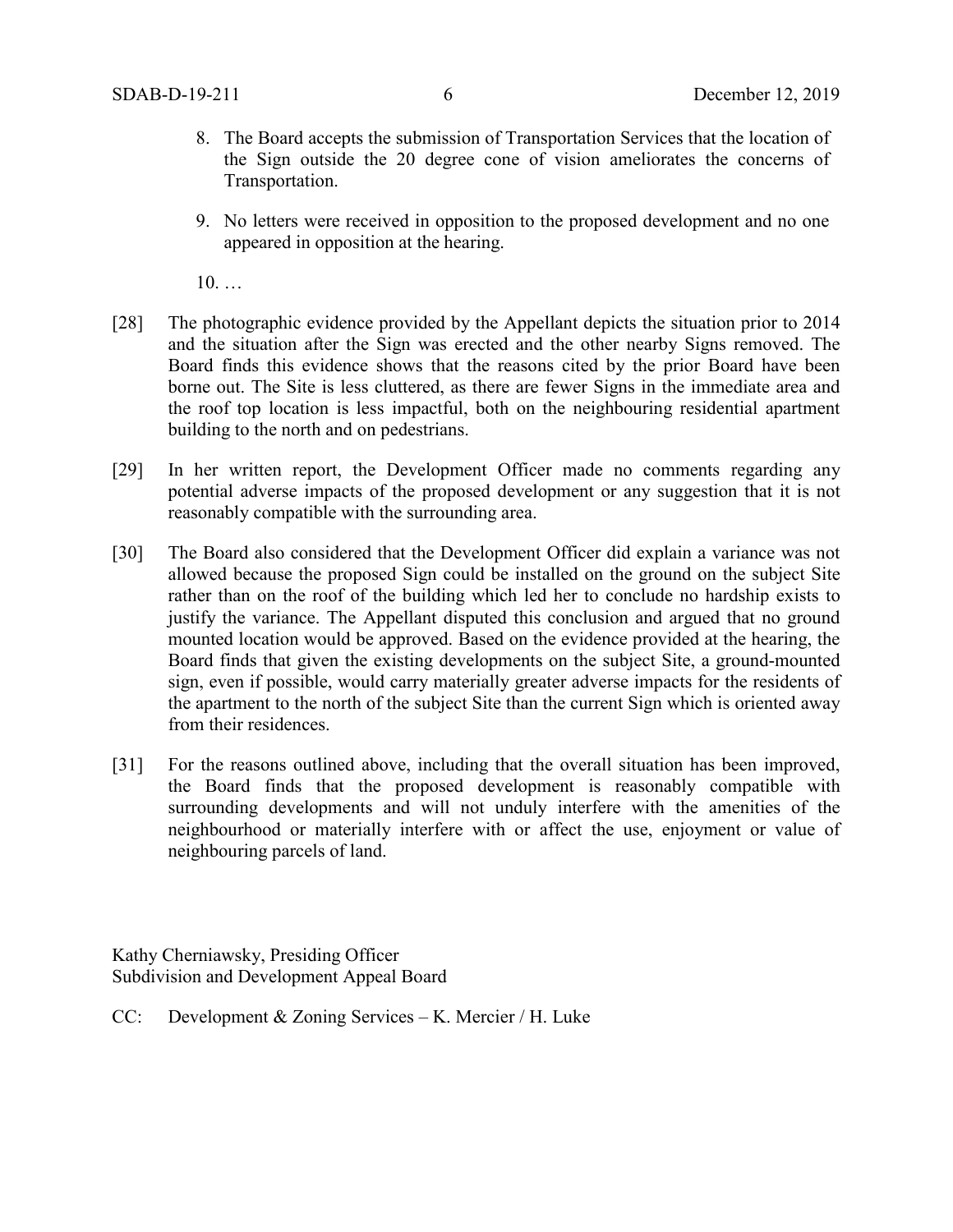- 8. The Board accepts the submission of Transportation Services that the location of the Sign outside the 20 degree cone of vision ameliorates the concerns of Transportation.
- 9. No letters were received in opposition to the proposed development and no one appeared in opposition at the hearing.

10. …

- [28] The photographic evidence provided by the Appellant depicts the situation prior to 2014 and the situation after the Sign was erected and the other nearby Signs removed. The Board finds this evidence shows that the reasons cited by the prior Board have been borne out. The Site is less cluttered, as there are fewer Signs in the immediate area and the roof top location is less impactful, both on the neighbouring residential apartment building to the north and on pedestrians.
- [29] In her written report, the Development Officer made no comments regarding any potential adverse impacts of the proposed development or any suggestion that it is not reasonably compatible with the surrounding area.
- [30] The Board also considered that the Development Officer did explain a variance was not allowed because the proposed Sign could be installed on the ground on the subject Site rather than on the roof of the building which led her to conclude no hardship exists to justify the variance. The Appellant disputed this conclusion and argued that no ground mounted location would be approved. Based on the evidence provided at the hearing, the Board finds that given the existing developments on the subject Site, a ground-mounted sign, even if possible, would carry materially greater adverse impacts for the residents of the apartment to the north of the subject Site than the current Sign which is oriented away from their residences.
- [31] For the reasons outlined above, including that the overall situation has been improved, the Board finds that the proposed development is reasonably compatible with surrounding developments and will not unduly interfere with the amenities of the neighbourhood or materially interfere with or affect the use, enjoyment or value of neighbouring parcels of land.

Kathy Cherniawsky, Presiding Officer Subdivision and Development Appeal Board

CC: Development & Zoning Services – K. Mercier / H. Luke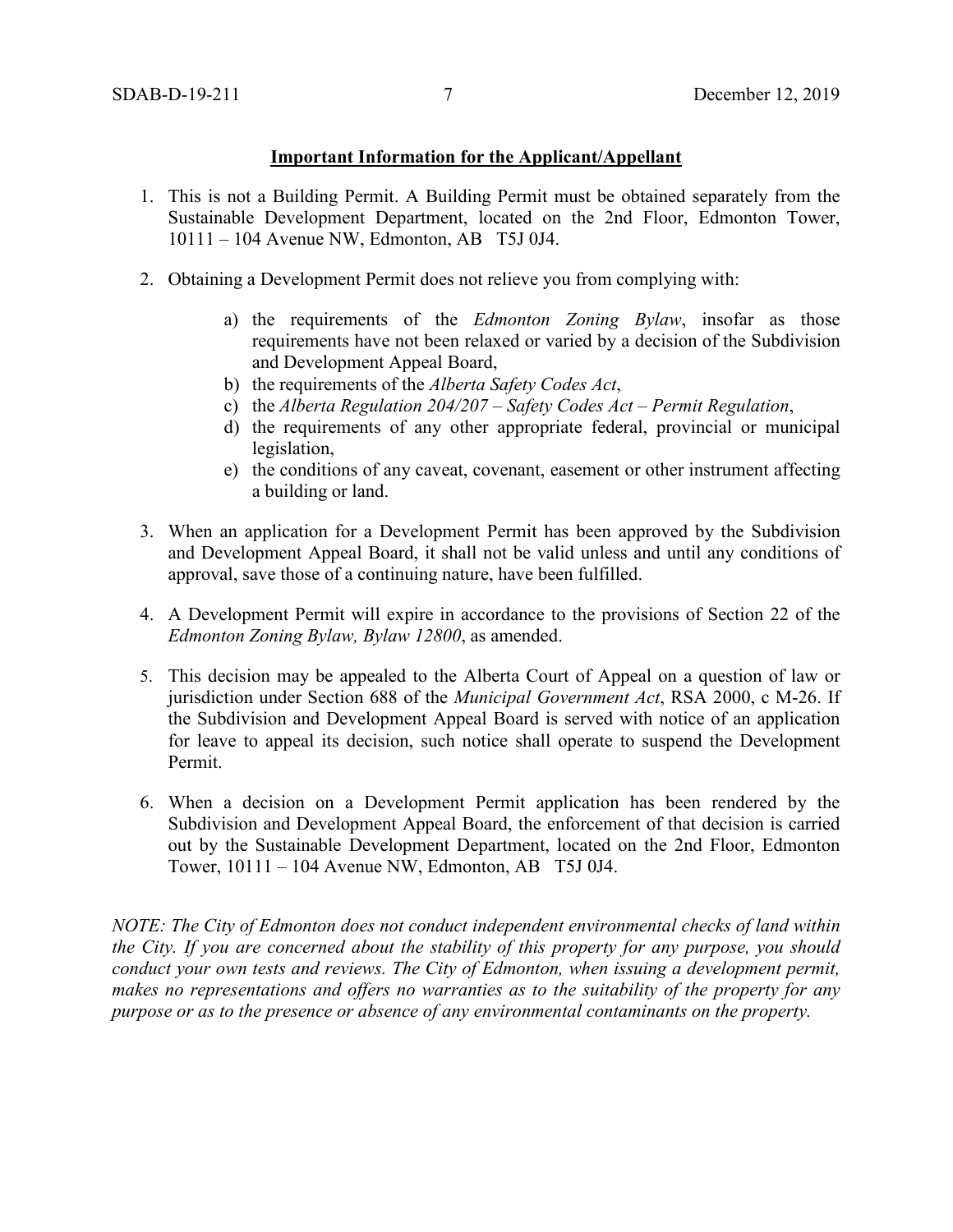### **Important Information for the Applicant/Appellant**

- 1. This is not a Building Permit. A Building Permit must be obtained separately from the Sustainable Development Department, located on the 2nd Floor, Edmonton Tower, 10111 – 104 Avenue NW, Edmonton, AB T5J 0J4.
- 2. Obtaining a Development Permit does not relieve you from complying with:
	- a) the requirements of the *Edmonton Zoning Bylaw*, insofar as those requirements have not been relaxed or varied by a decision of the Subdivision and Development Appeal Board,
	- b) the requirements of the *Alberta Safety Codes Act*,
	- c) the *Alberta Regulation 204/207 – Safety Codes Act – Permit Regulation*,
	- d) the requirements of any other appropriate federal, provincial or municipal legislation,
	- e) the conditions of any caveat, covenant, easement or other instrument affecting a building or land.
- 3. When an application for a Development Permit has been approved by the Subdivision and Development Appeal Board, it shall not be valid unless and until any conditions of approval, save those of a continuing nature, have been fulfilled.
- 4. A Development Permit will expire in accordance to the provisions of Section 22 of the *Edmonton Zoning Bylaw, Bylaw 12800*, as amended.
- 5. This decision may be appealed to the Alberta Court of Appeal on a question of law or jurisdiction under Section 688 of the *Municipal Government Act*, RSA 2000, c M-26. If the Subdivision and Development Appeal Board is served with notice of an application for leave to appeal its decision, such notice shall operate to suspend the Development Permit.
- 6. When a decision on a Development Permit application has been rendered by the Subdivision and Development Appeal Board, the enforcement of that decision is carried out by the Sustainable Development Department, located on the 2nd Floor, Edmonton Tower, 10111 – 104 Avenue NW, Edmonton, AB T5J 0J4.

*NOTE: The City of Edmonton does not conduct independent environmental checks of land within the City. If you are concerned about the stability of this property for any purpose, you should conduct your own tests and reviews. The City of Edmonton, when issuing a development permit, makes no representations and offers no warranties as to the suitability of the property for any purpose or as to the presence or absence of any environmental contaminants on the property.*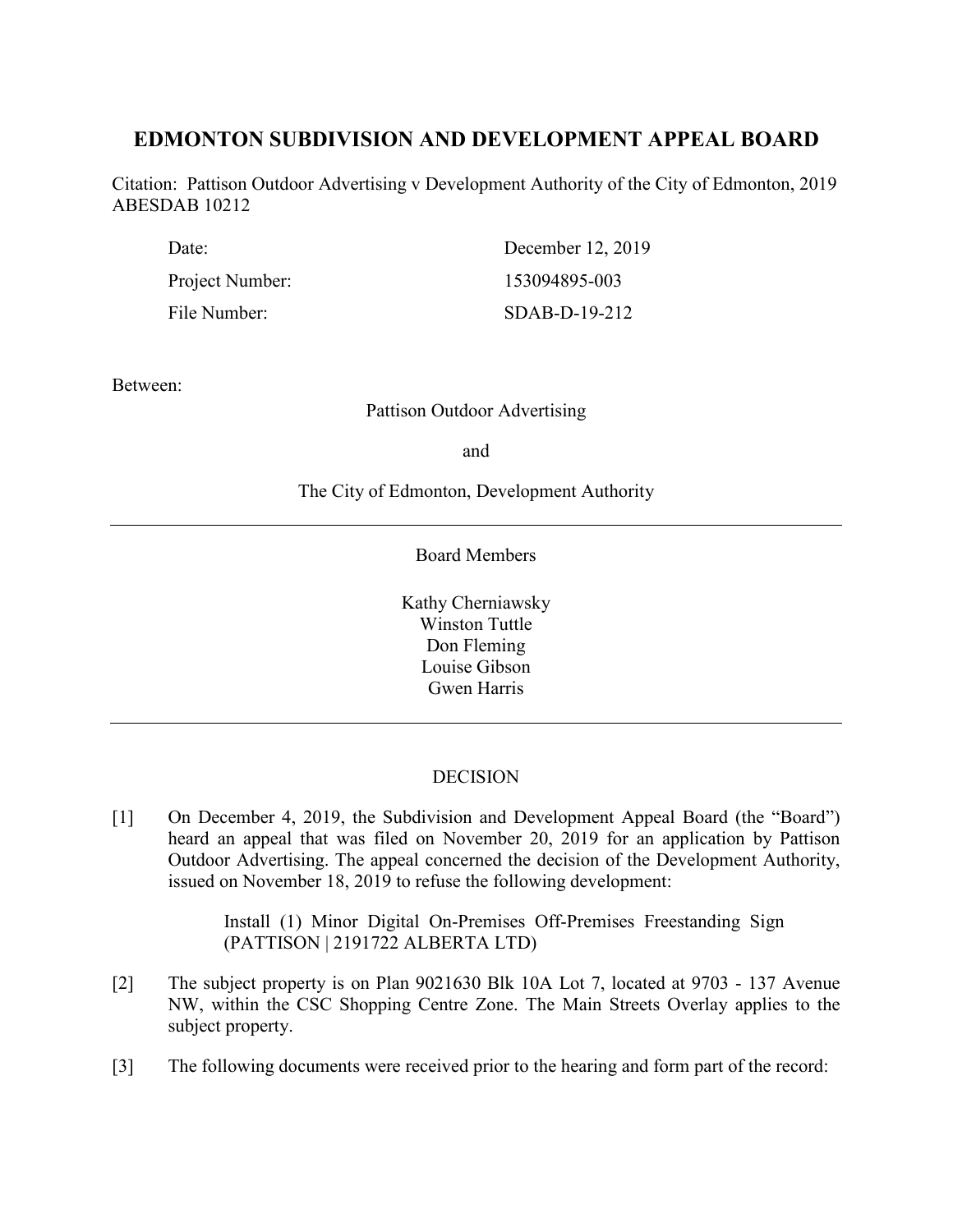# **EDMONTON SUBDIVISION AND DEVELOPMENT APPEAL BOARD**

Citation: Pattison Outdoor Advertising v Development Authority of the City of Edmonton, 2019 ABESDAB 10212

| Date:           | December 12, 2019 |
|-----------------|-------------------|
| Project Number: | 153094895-003     |
| File Number:    | $SDAB-D-19-212$   |

Between:

Pattison Outdoor Advertising

and

The City of Edmonton, Development Authority

Board Members

Kathy Cherniawsky Winston Tuttle Don Fleming Louise Gibson Gwen Harris

## DECISION

[1] On December 4, 2019, the Subdivision and Development Appeal Board (the "Board") heard an appeal that was filed on November 20, 2019 for an application by Pattison Outdoor Advertising. The appeal concerned the decision of the Development Authority, issued on November 18, 2019 to refuse the following development:

> Install (1) Minor Digital On-Premises Off-Premises Freestanding Sign (PATTISON | 2191722 ALBERTA LTD)

- [2] The subject property is on Plan 9021630 Blk 10A Lot 7, located at 9703 137 Avenue NW, within the CSC Shopping Centre Zone. The Main Streets Overlay applies to the subject property.
- [3] The following documents were received prior to the hearing and form part of the record: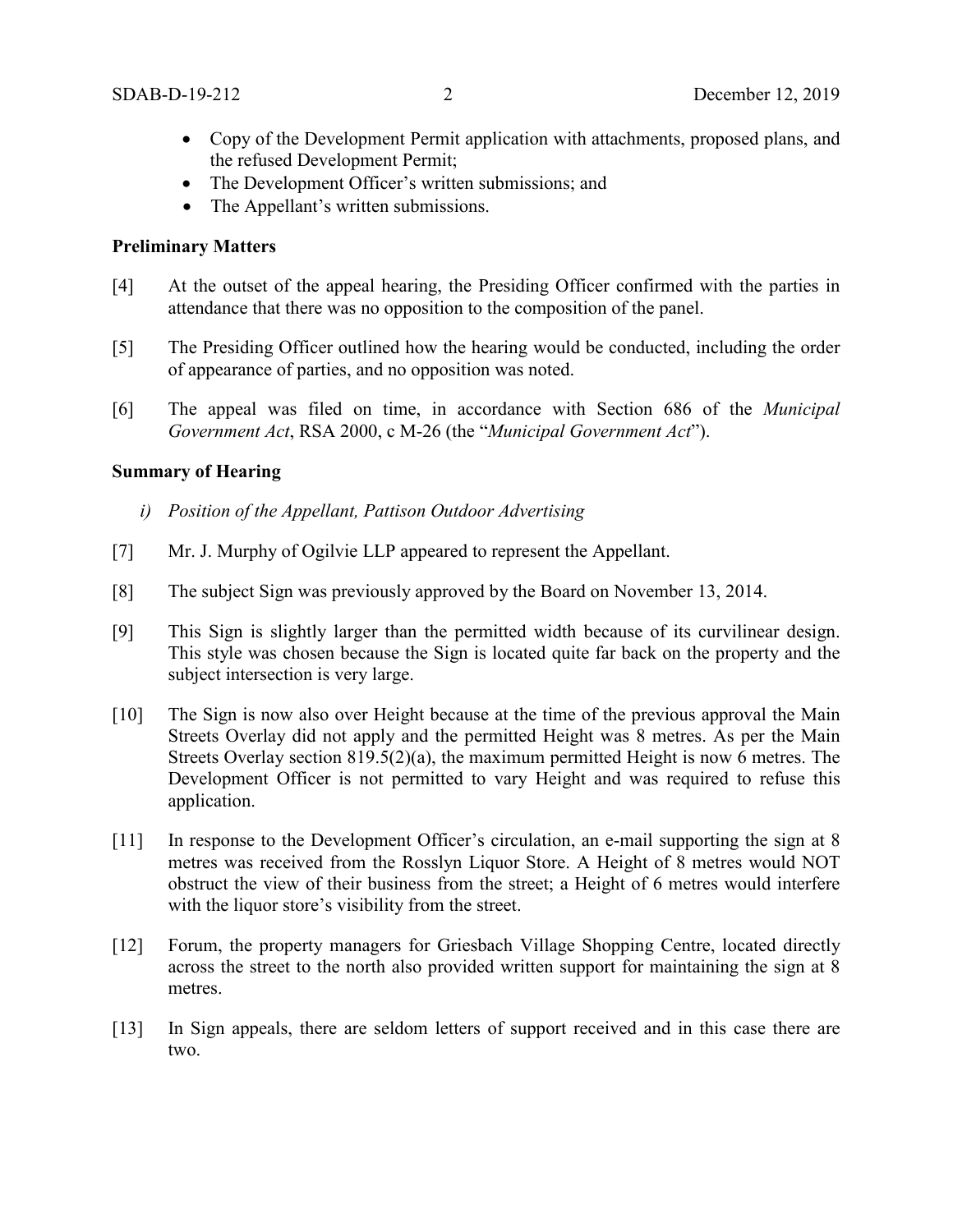- Copy of the Development Permit application with attachments, proposed plans, and the refused Development Permit;
- The Development Officer's written submissions; and
- The Appellant's written submissions.

### **Preliminary Matters**

- [4] At the outset of the appeal hearing, the Presiding Officer confirmed with the parties in attendance that there was no opposition to the composition of the panel.
- [5] The Presiding Officer outlined how the hearing would be conducted, including the order of appearance of parties, and no opposition was noted.
- [6] The appeal was filed on time, in accordance with Section 686 of the *Municipal Government Act*, RSA 2000, c M-26 (the "*Municipal Government Act*").

### **Summary of Hearing**

- *i) Position of the Appellant, Pattison Outdoor Advertising*
- [7] Mr. J. Murphy of Ogilvie LLP appeared to represent the Appellant.
- [8] The subject Sign was previously approved by the Board on November 13, 2014.
- [9] This Sign is slightly larger than the permitted width because of its curvilinear design. This style was chosen because the Sign is located quite far back on the property and the subject intersection is very large.
- [10] The Sign is now also over Height because at the time of the previous approval the Main Streets Overlay did not apply and the permitted Height was 8 metres. As per the Main Streets Overlay section 819.5(2)(a), the maximum permitted Height is now 6 metres. The Development Officer is not permitted to vary Height and was required to refuse this application.
- [11] In response to the Development Officer's circulation, an e-mail supporting the sign at 8 metres was received from the Rosslyn Liquor Store. A Height of 8 metres would NOT obstruct the view of their business from the street; a Height of 6 metres would interfere with the liquor store's visibility from the street.
- [12] Forum, the property managers for Griesbach Village Shopping Centre, located directly across the street to the north also provided written support for maintaining the sign at 8 metres.
- [13] In Sign appeals, there are seldom letters of support received and in this case there are two.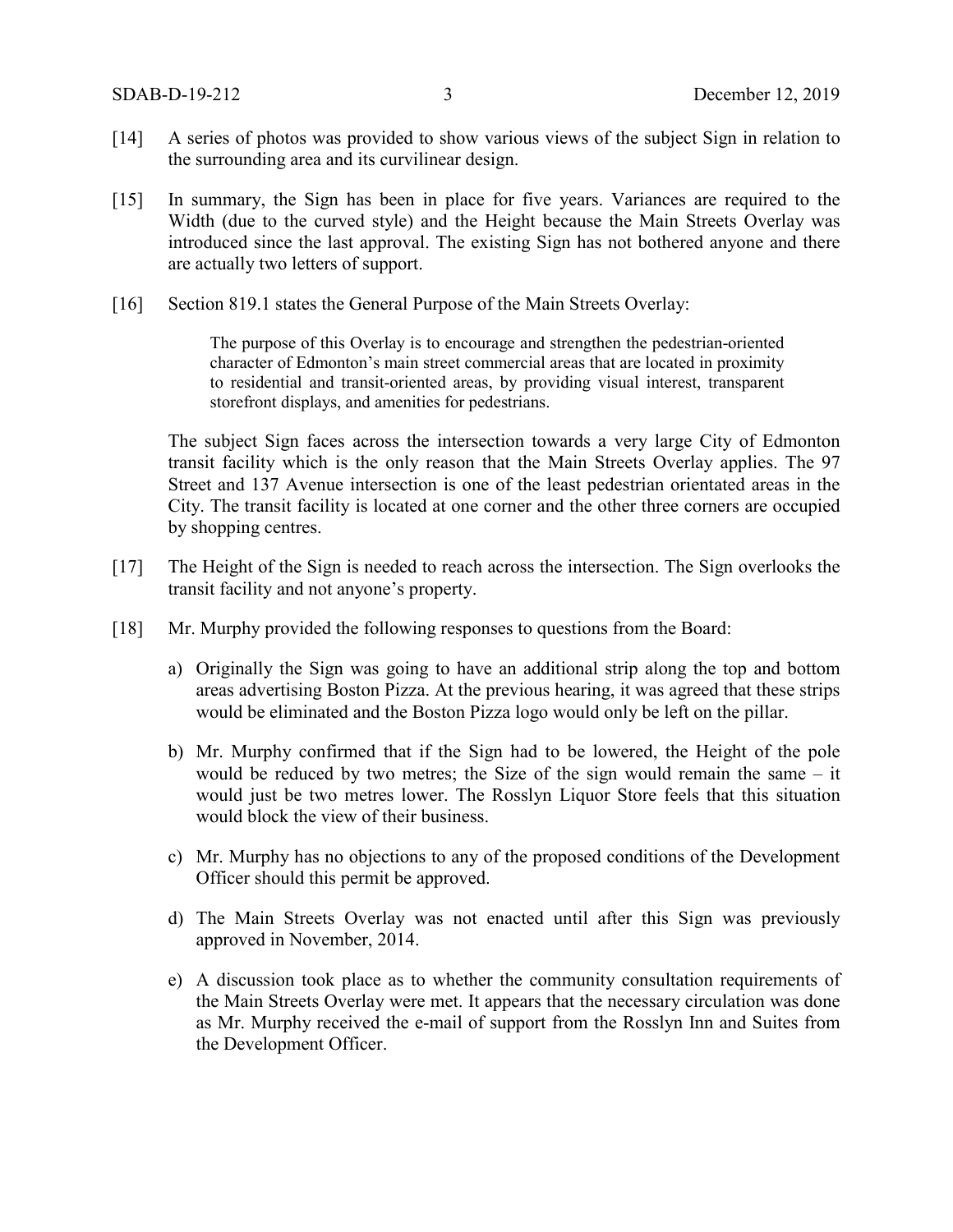- [14] A series of photos was provided to show various views of the subject Sign in relation to the surrounding area and its curvilinear design.
- [15] In summary, the Sign has been in place for five years. Variances are required to the Width (due to the curved style) and the Height because the Main Streets Overlay was introduced since the last approval. The existing Sign has not bothered anyone and there are actually two letters of support.
- [16] Section 819.1 states the General Purpose of the Main Streets Overlay:

The purpose of this Overlay is to encourage and strengthen the pedestrian-oriented character of Edmonton's main street commercial areas that are located in proximity to residential and transit-oriented areas, by providing visual interest, transparent storefront displays, and amenities for pedestrians.

The subject Sign faces across the intersection towards a very large City of Edmonton transit facility which is the only reason that the Main Streets Overlay applies. The 97 Street and 137 Avenue intersection is one of the least pedestrian orientated areas in the City. The transit facility is located at one corner and the other three corners are occupied by shopping centres.

- [17] The Height of the Sign is needed to reach across the intersection. The Sign overlooks the transit facility and not anyone's property.
- [18] Mr. Murphy provided the following responses to questions from the Board:
	- a) Originally the Sign was going to have an additional strip along the top and bottom areas advertising Boston Pizza. At the previous hearing, it was agreed that these strips would be eliminated and the Boston Pizza logo would only be left on the pillar.
	- b) Mr. Murphy confirmed that if the Sign had to be lowered, the Height of the pole would be reduced by two metres; the Size of the sign would remain the same – it would just be two metres lower. The Rosslyn Liquor Store feels that this situation would block the view of their business.
	- c) Mr. Murphy has no objections to any of the proposed conditions of the Development Officer should this permit be approved.
	- d) The Main Streets Overlay was not enacted until after this Sign was previously approved in November, 2014.
	- e) A discussion took place as to whether the community consultation requirements of the Main Streets Overlay were met. It appears that the necessary circulation was done as Mr. Murphy received the e-mail of support from the Rosslyn Inn and Suites from the Development Officer.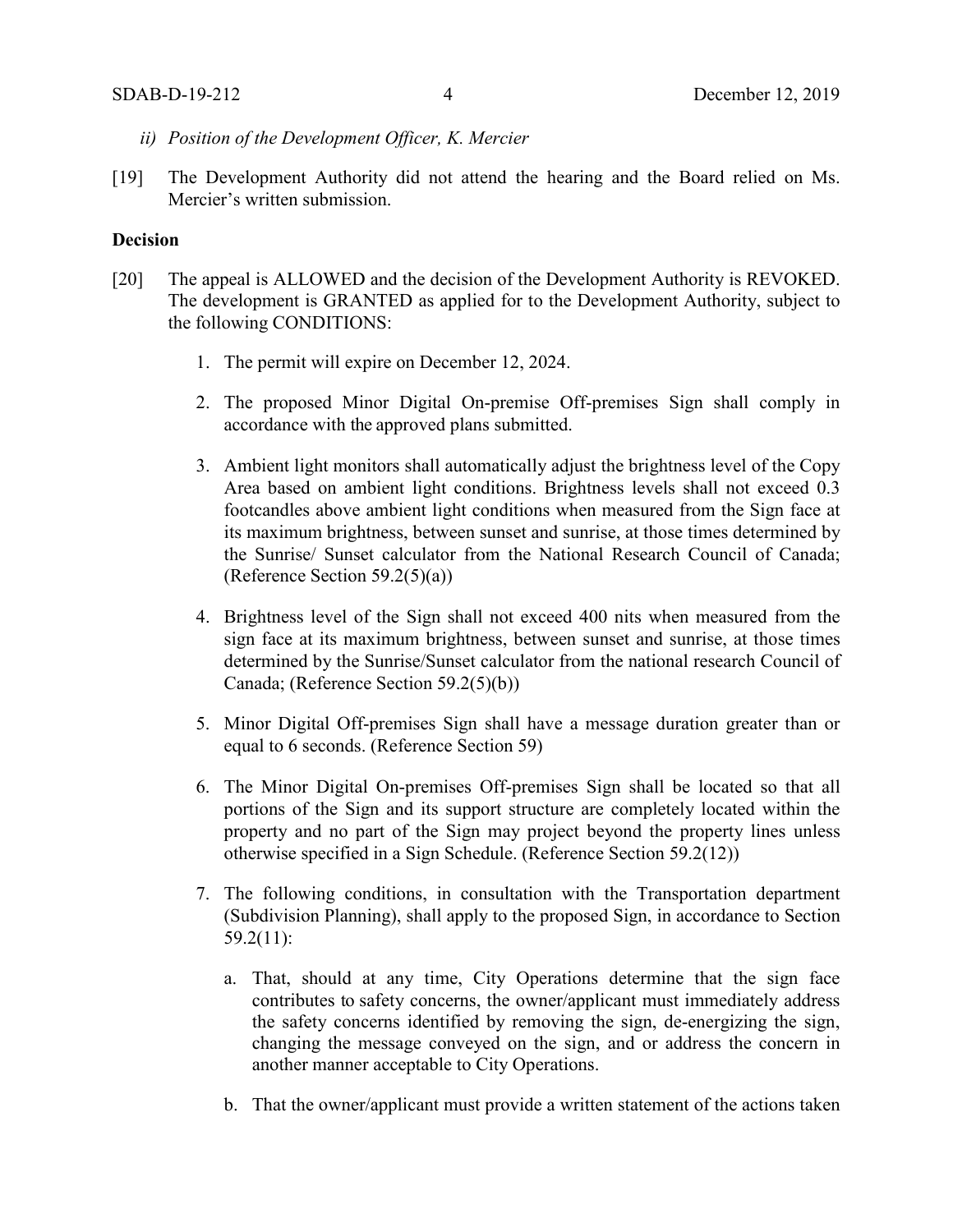- *ii) Position of the Development Officer, K. Mercier*
- [19] The Development Authority did not attend the hearing and the Board relied on Ms. Mercier's written submission.

### **Decision**

- [20] The appeal is ALLOWED and the decision of the Development Authority is REVOKED. The development is GRANTED as applied for to the Development Authority, subject to the following CONDITIONS:
	- 1. The permit will expire on December 12, 2024.
	- 2. The proposed Minor Digital On-premise Off-premises Sign shall comply in accordance with the approved plans submitted.
	- 3. Ambient light monitors shall automatically adjust the brightness level of the Copy Area based on ambient light conditions. Brightness levels shall not exceed 0.3 footcandles above ambient light conditions when measured from the Sign face at its maximum brightness, between sunset and sunrise, at those times determined by the Sunrise/ Sunset calculator from the National Research Council of Canada; (Reference Section  $59.2(5)(a)$ )
	- 4. Brightness level of the Sign shall not exceed 400 nits when measured from the sign face at its maximum brightness, between sunset and sunrise, at those times determined by the Sunrise/Sunset calculator from the national research Council of Canada; (Reference Section 59.2(5)(b))
	- 5. Minor Digital Off-premises Sign shall have a message duration greater than or equal to 6 seconds. (Reference Section 59)
	- 6. The Minor Digital On-premises Off-premises Sign shall be located so that all portions of the Sign and its support structure are completely located within the property and no part of the Sign may project beyond the property lines unless otherwise specified in a Sign Schedule. (Reference Section 59.2(12))
	- 7. The following conditions, in consultation with the Transportation department (Subdivision Planning), shall apply to the proposed Sign, in accordance to Section 59.2(11):
		- a. That, should at any time, City Operations determine that the sign face contributes to safety concerns, the owner/applicant must immediately address the safety concerns identified by removing the sign, de-energizing the sign, changing the message conveyed on the sign, and or address the concern in another manner acceptable to City Operations.
		- b. That the owner/applicant must provide a written statement of the actions taken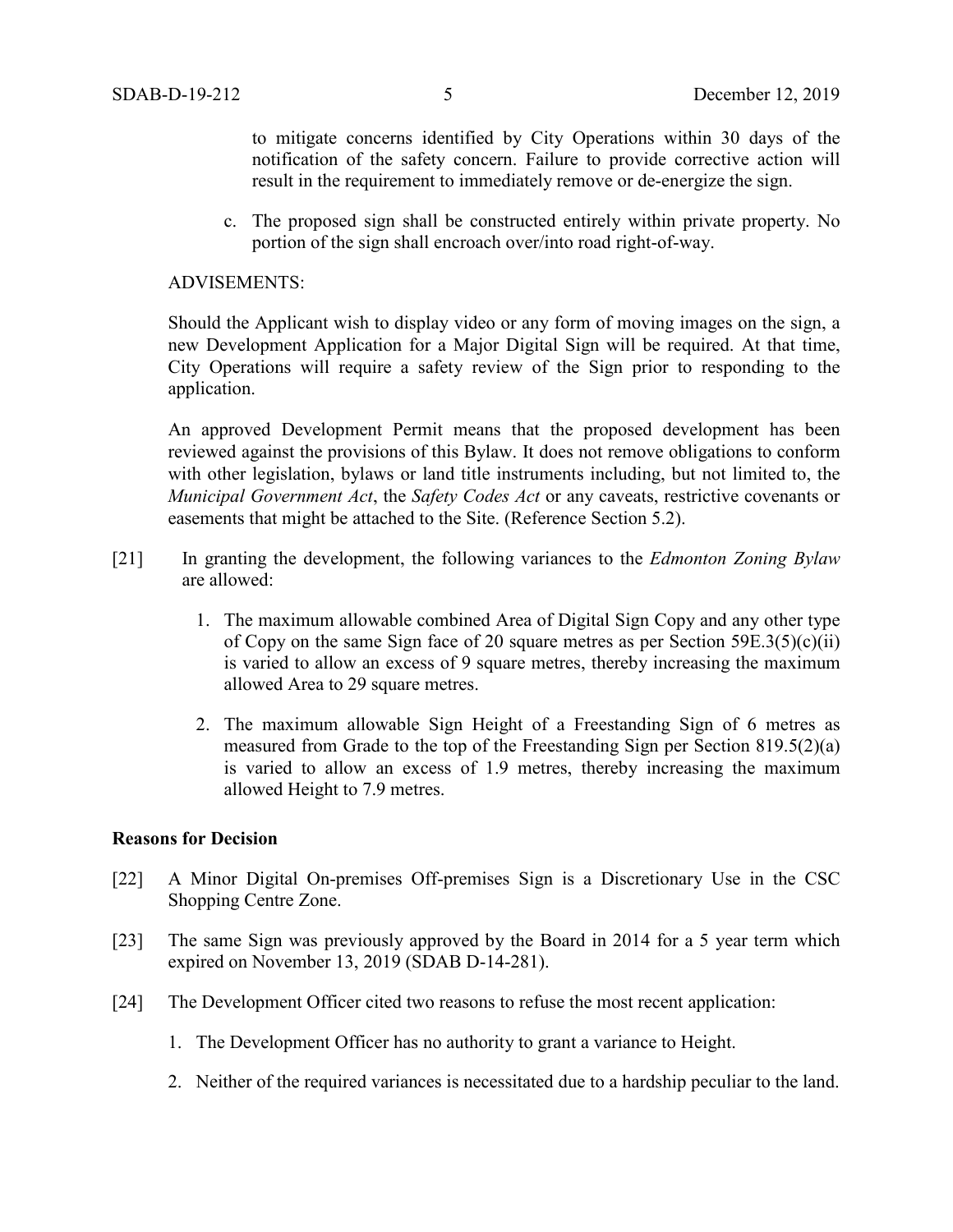to mitigate concerns identified by City Operations within 30 days of the notification of the safety concern. Failure to provide corrective action will result in the requirement to immediately remove or de-energize the sign.

c. The proposed sign shall be constructed entirely within private property. No portion of the sign shall encroach over/into road right-of-way.

### ADVISEMENTS:

Should the Applicant wish to display video or any form of moving images on the sign, a new Development Application for a Major Digital Sign will be required. At that time, City Operations will require a safety review of the Sign prior to responding to the application.

An approved Development Permit means that the proposed development has been reviewed against the provisions of this Bylaw. It does not remove obligations to conform with other legislation, bylaws or land title instruments including, but not limited to, the *Municipal Government Act*, the *Safety Codes Act* or any caveats, restrictive covenants or easements that might be attached to the Site. (Reference Section 5.2).

- [21] In granting the development, the following variances to the *Edmonton Zoning Bylaw* are allowed:
	- 1. The maximum allowable combined Area of Digital Sign Copy and any other type of Copy on the same Sign face of 20 square metres as per Section  $59E.3(5)(c)(ii)$ is varied to allow an excess of 9 square metres, thereby increasing the maximum allowed Area to 29 square metres.
	- 2. The maximum allowable Sign Height of a Freestanding Sign of 6 metres as measured from Grade to the top of the Freestanding Sign per Section 819.5(2)(a) is varied to allow an excess of 1.9 metres, thereby increasing the maximum allowed Height to 7.9 metres.

### **Reasons for Decision**

- [22] A Minor Digital On-premises Off-premises Sign is a Discretionary Use in the CSC Shopping Centre Zone.
- [23] The same Sign was previously approved by the Board in 2014 for a 5 year term which expired on November 13, 2019 (SDAB D-14-281).
- [24] The Development Officer cited two reasons to refuse the most recent application:
	- 1. The Development Officer has no authority to grant a variance to Height.
	- 2. Neither of the required variances is necessitated due to a hardship peculiar to the land.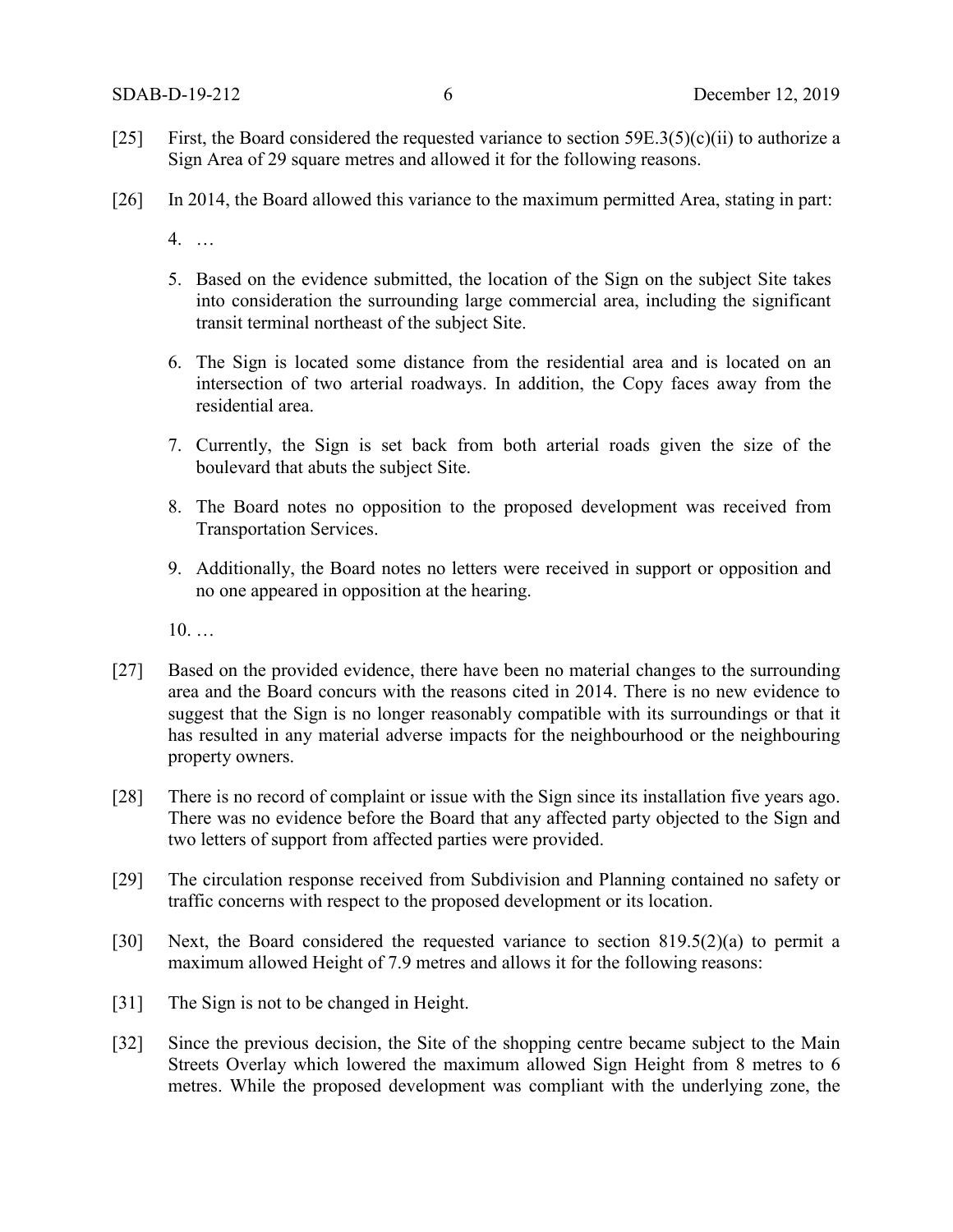- [25] First, the Board considered the requested variance to section  $59E.3(5)(c)(ii)$  to authorize a Sign Area of 29 square metres and allowed it for the following reasons.
- [26] In 2014, the Board allowed this variance to the maximum permitted Area, stating in part:
	- 4. …
	- 5. Based on the evidence submitted, the location of the Sign on the subject Site takes into consideration the surrounding large commercial area, including the significant transit terminal northeast of the subject Site.
	- 6. The Sign is located some distance from the residential area and is located on an intersection of two arterial roadways. In addition, the Copy faces away from the residential area.
	- 7. Currently, the Sign is set back from both arterial roads given the size of the boulevard that abuts the subject Site.
	- 8. The Board notes no opposition to the proposed development was received from Transportation Services.
	- 9. Additionally, the Board notes no letters were received in support or opposition and no one appeared in opposition at the hearing.

10. …

- [27] Based on the provided evidence, there have been no material changes to the surrounding area and the Board concurs with the reasons cited in 2014. There is no new evidence to suggest that the Sign is no longer reasonably compatible with its surroundings or that it has resulted in any material adverse impacts for the neighbourhood or the neighbouring property owners.
- [28] There is no record of complaint or issue with the Sign since its installation five years ago. There was no evidence before the Board that any affected party objected to the Sign and two letters of support from affected parties were provided.
- [29] The circulation response received from Subdivision and Planning contained no safety or traffic concerns with respect to the proposed development or its location.
- [30] Next, the Board considered the requested variance to section 819.5(2)(a) to permit a maximum allowed Height of 7.9 metres and allows it for the following reasons:
- [31] The Sign is not to be changed in Height.
- [32] Since the previous decision, the Site of the shopping centre became subject to the Main Streets Overlay which lowered the maximum allowed Sign Height from 8 metres to 6 metres. While the proposed development was compliant with the underlying zone, the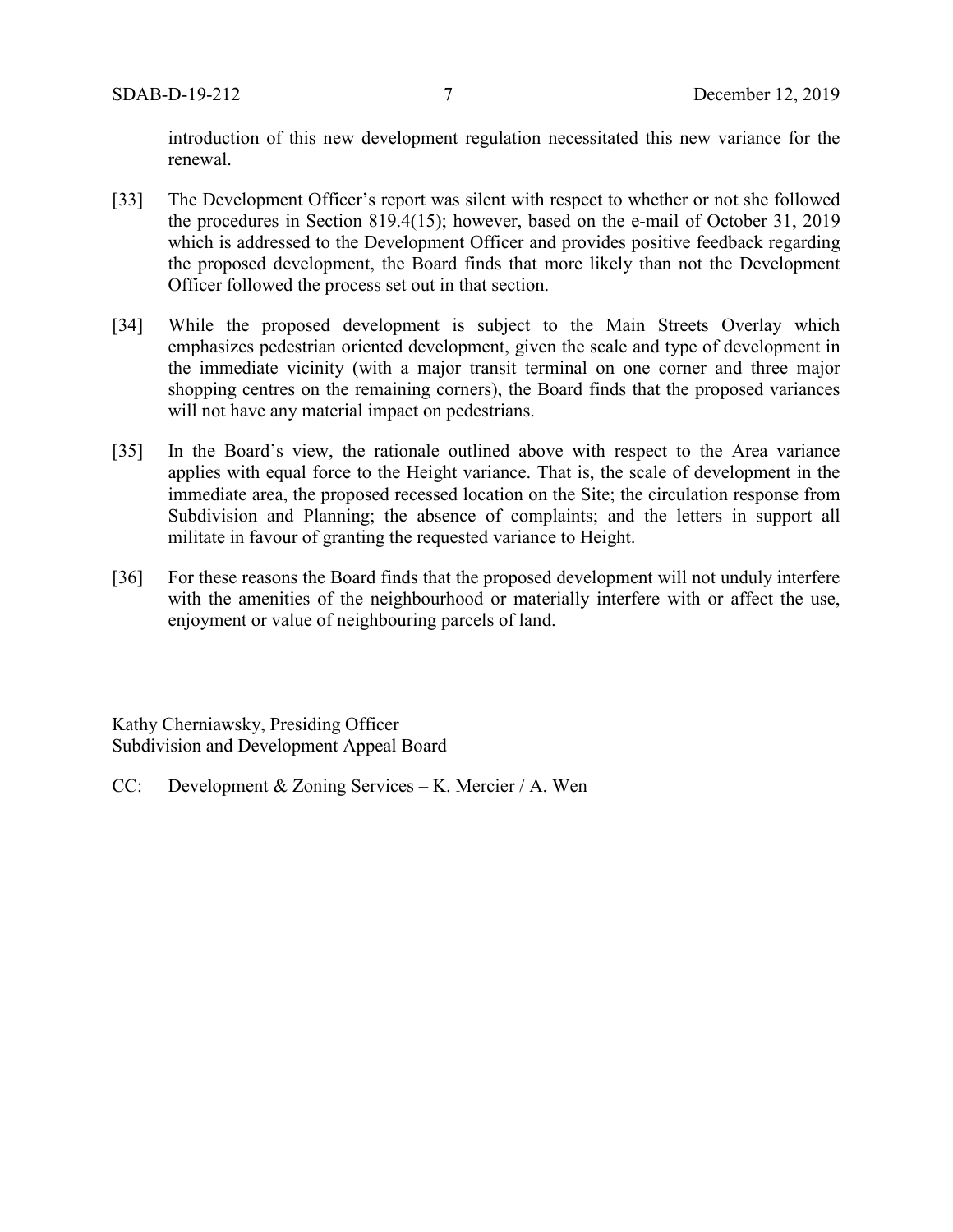introduction of this new development regulation necessitated this new variance for the renewal.

- [33] The Development Officer's report was silent with respect to whether or not she followed the procedures in Section 819.4(15); however, based on the e-mail of October 31, 2019 which is addressed to the Development Officer and provides positive feedback regarding the proposed development, the Board finds that more likely than not the Development Officer followed the process set out in that section.
- [34] While the proposed development is subject to the Main Streets Overlay which emphasizes pedestrian oriented development, given the scale and type of development in the immediate vicinity (with a major transit terminal on one corner and three major shopping centres on the remaining corners), the Board finds that the proposed variances will not have any material impact on pedestrians.
- [35] In the Board's view, the rationale outlined above with respect to the Area variance applies with equal force to the Height variance. That is, the scale of development in the immediate area, the proposed recessed location on the Site; the circulation response from Subdivision and Planning; the absence of complaints; and the letters in support all militate in favour of granting the requested variance to Height.
- [36] For these reasons the Board finds that the proposed development will not unduly interfere with the amenities of the neighbourhood or materially interfere with or affect the use, enjoyment or value of neighbouring parcels of land.

Kathy Cherniawsky, Presiding Officer Subdivision and Development Appeal Board

CC: Development & Zoning Services – K. Mercier / A. Wen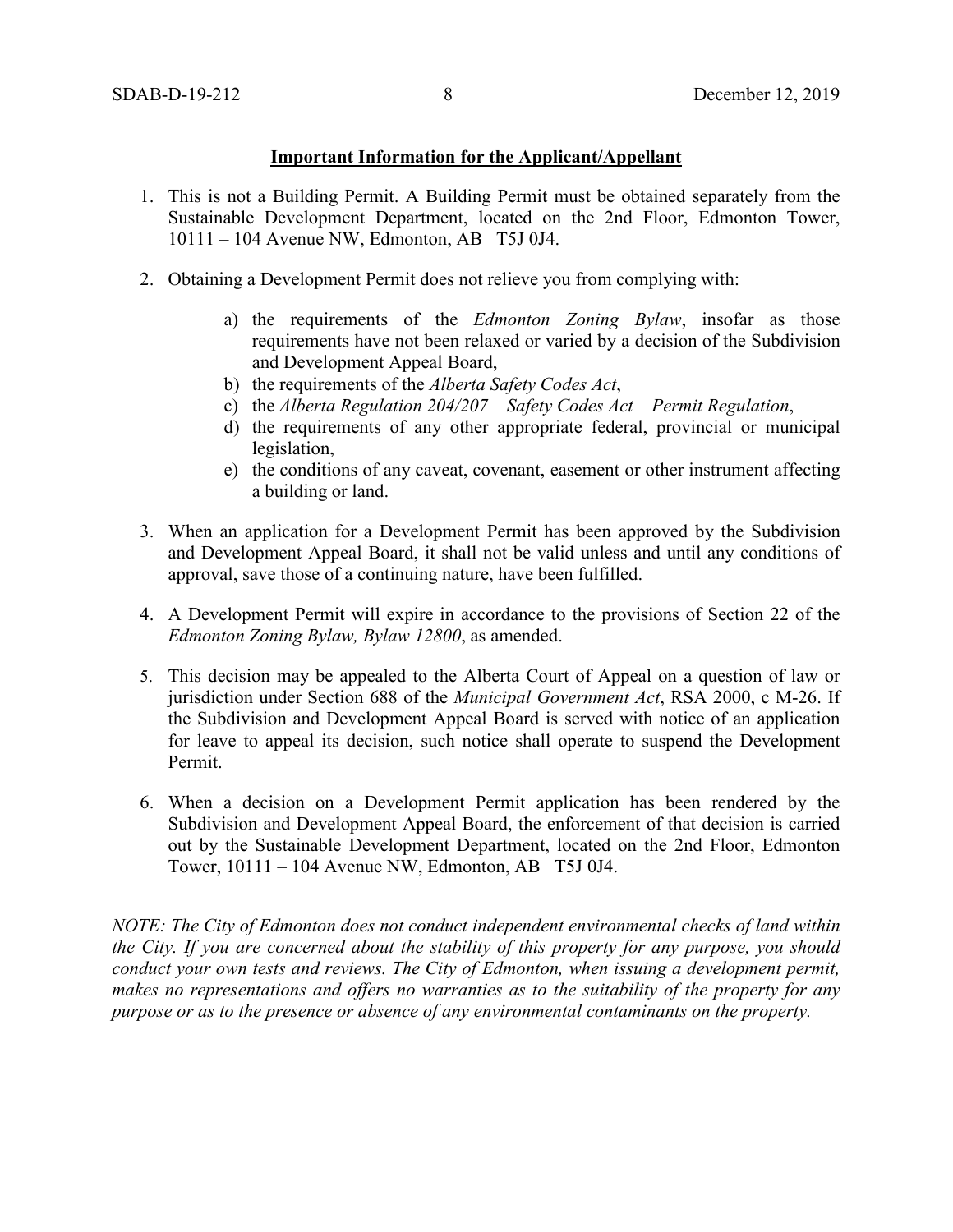### **Important Information for the Applicant/Appellant**

- 1. This is not a Building Permit. A Building Permit must be obtained separately from the Sustainable Development Department, located on the 2nd Floor, Edmonton Tower, 10111 – 104 Avenue NW, Edmonton, AB T5J 0J4.
- 2. Obtaining a Development Permit does not relieve you from complying with:
	- a) the requirements of the *Edmonton Zoning Bylaw*, insofar as those requirements have not been relaxed or varied by a decision of the Subdivision and Development Appeal Board,
	- b) the requirements of the *Alberta Safety Codes Act*,
	- c) the *Alberta Regulation 204/207 – Safety Codes Act – Permit Regulation*,
	- d) the requirements of any other appropriate federal, provincial or municipal legislation,
	- e) the conditions of any caveat, covenant, easement or other instrument affecting a building or land.
- 3. When an application for a Development Permit has been approved by the Subdivision and Development Appeal Board, it shall not be valid unless and until any conditions of approval, save those of a continuing nature, have been fulfilled.
- 4. A Development Permit will expire in accordance to the provisions of Section 22 of the *Edmonton Zoning Bylaw, Bylaw 12800*, as amended.
- 5. This decision may be appealed to the Alberta Court of Appeal on a question of law or jurisdiction under Section 688 of the *Municipal Government Act*, RSA 2000, c M-26. If the Subdivision and Development Appeal Board is served with notice of an application for leave to appeal its decision, such notice shall operate to suspend the Development Permit.
- 6. When a decision on a Development Permit application has been rendered by the Subdivision and Development Appeal Board, the enforcement of that decision is carried out by the Sustainable Development Department, located on the 2nd Floor, Edmonton Tower, 10111 – 104 Avenue NW, Edmonton, AB T5J 0J4.

*NOTE: The City of Edmonton does not conduct independent environmental checks of land within the City. If you are concerned about the stability of this property for any purpose, you should conduct your own tests and reviews. The City of Edmonton, when issuing a development permit, makes no representations and offers no warranties as to the suitability of the property for any purpose or as to the presence or absence of any environmental contaminants on the property.*